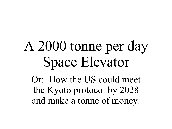## A 2000 tonne per day Space Elevator

Or: How the US could meet the Kyoto protocol by 2028 and make a tonne of money.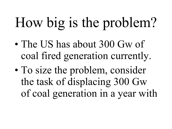# How big is the problem?

- The US has about 300 Gw of coal fired generation currently.
- To size the problem, consider the task of displacing 300 Gw of coal generation in a year with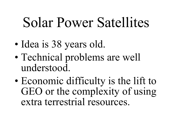### Solar Power Satellites

- Idea is 38 years old.
- Technical problems are well understood.
- Economic difficulty is the lift to GEO or the complexity of using extra terrestrial resources.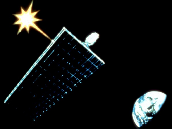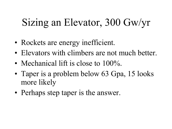#### Sizing an Elevator, 300 Gw/yr

- Rockets are energy inefficient.
- Elevators with climbers are not much better.
- Mechanical lift is close to  $100\%$ .
- Taper is a problem below 63 Gpa, 15 looks more likely
- Perhaps step taper is the answer.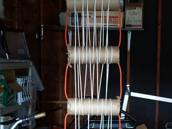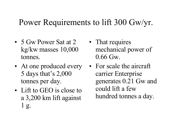#### Power Requirements to lift 300 Gw/yr.

- 5 Gw Power Sat at 2 kg/kw masses 10,000 tonnes.
- At one produced every 5 days that's 2,000 tonnes per day.
- Lift to GEO is close to a 3,200 km lift against 1 g.
- That requires mechanical power of 0.66 Gw.
- For scale the aircraft carrier Enterprise generates 0.21 Gw and could lift a few hundred tonnes a day.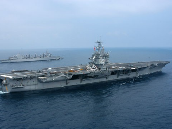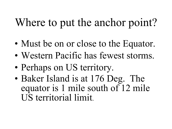### Where to put the anchor point?

- Must be on or close to the Equator.
- Western Pacific has fewest storms.
- Perhaps on US territory.
- Baker Island is at 176 Deg. The equator is 1 mile south of 12 mile US territorial limit.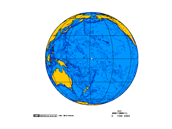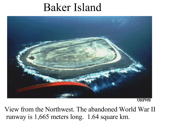#### Baker Island



View from the Northwest. The abandoned World War II runway is 1,665 meters long. 1.64 square km.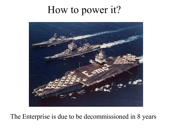#### How to power it?



The Enterprise is due to be decommissioned in 8 years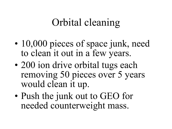#### Orbital cleaning

- 10,000 pieces of space junk, need to clean it out in a few years.
- 200 ion drive orbital tugs each removing 50 pieces over 5 years would clean it up.
- Push the junk out to GEO for needed counterweight mass.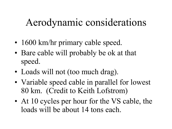#### Aerodynamic considerations

- 1600 km/hr primary cable speed.
- Bare cable will probably be ok at that speed.
- Loads will not (too much drag).
- Variable speed cable in parallel for lowest 80 km. (Credit to Keith Lofstrom)
- At 10 cycles per hour for the VS cable, the loads will be about 14 tons each.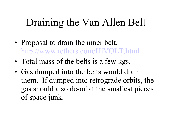#### Draining the Van Allen Belt

- Proposal to drain the inner belt, <http://www.tethers.com/HiVOLT.html>
- Total mass of the belts is a few kgs.
- Gas dumped into the belts would drain them. If dumped into retrograde orbits, the gas should also de-orbit the smallest pieces of space junk.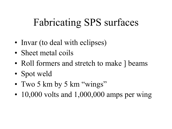#### Fabricating SPS surfaces

- Invar (to deal with eclipses)
- Sheet metal coils
- Roll formers and stretch to make I beams
- Spot weld
- Two 5 km by 5 km "wings"
- 10,000 volts and  $1,000,000$  amps per wing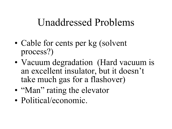#### Unaddressed Problems

- Cable for cents per kg (solvent process?)
- Vacuum degradation (Hard vacuum is an excellent insulator, but it doesn't take much gas for a flashover)
- "Man" rating the elevator
- Political/economic.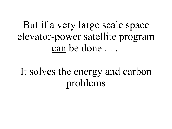#### But if a very large scale space elevator-power satellite program can be done . . .

#### It solves the energy and carbon problems